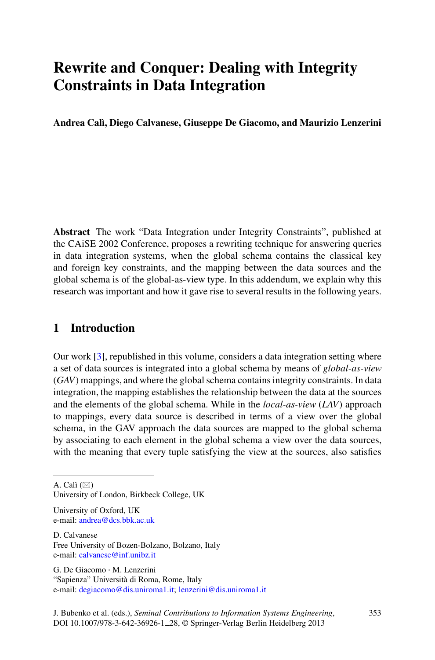# **Rewrite and Conquer: Dealing with Integrity Constraints in Data Integration**

**Andrea Cal`ı, Diego Calvanese, Giuseppe De Giacomo, and Maurizio Lenzerini**

**Abstract** The work "Data Integration under Integrity Constraints", published at the CAiSE 2002 Conference, proposes a rewriting technique for answering queries in data integration systems, when the global schema contains the classical key and foreign key constraints, and the mapping between the data sources and the global schema is of the global-as-view type. In this addendum, we explain why this research was important and how it gave rise to several results in the following years.

# **1 Introduction**

Our work [\[3\]](#page-5-0), republished in this volume, considers a data integration setting where a set of data sources is integrated into a global schema by means of *global-as-view* (*GAV*) mappings, and where the global schema contains integrity constraints. In data integration, the mapping establishes the relationship between the data at the sources and the elements of the global schema. While in the *local-as-view* (*LAV*) approach to mappings, every data source is described in terms of a view over the global schema, in the GAV approach the data sources are mapped to the global schema by associating to each element in the global schema a view over the data sources, with the meaning that every tuple satisfying the view at the sources, also satisfies

D. Calvanese Free University of Bozen-Bolzano, Bolzano, Italy e-mail: [calvanese@inf.unibz.it](mailto:calvanese@inf.unibz.it)

G. De Giacomo - M. Lenzerini "Sapienza" Universita di Roma, Rome, Italy ` e-mail: [degiacomo@dis.uniroma1.it;](mailto:degiacomo@dis.uniroma1.it) [lenzerini@dis.uniroma1.it](mailto:lenzerini@dis.uniroma1.it)

A. Calì (⊠)

University of London, Birkbeck College, UK

University of Oxford, UK e-mail: [andrea@dcs.bbk.ac.uk](mailto:andrea@dcs.bbk.ac.uk)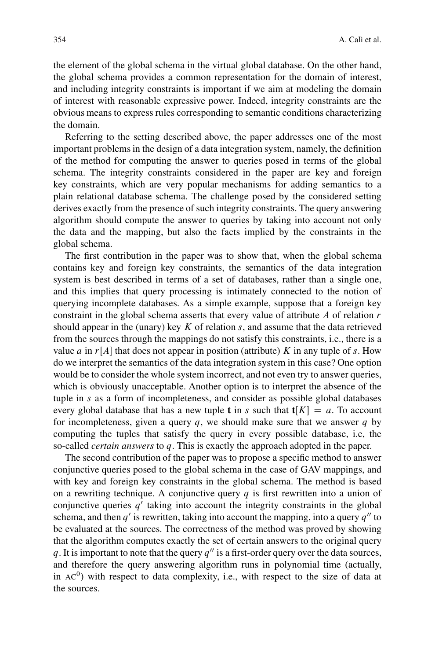the element of the global schema in the virtual global database. On the other hand, the global schema provides a common representation for the domain of interest, and including integrity constraints is important if we aim at modeling the domain of interest with reasonable expressive power. Indeed, integrity constraints are the obvious means to express rules corresponding to semantic conditions characterizing the domain.

Referring to the setting described above, the paper addresses one of the most important problems in the design of a data integration system, namely, the definition of the method for computing the answer to queries posed in terms of the global schema. The integrity constraints considered in the paper are key and foreign key constraints, which are very popular mechanisms for adding semantics to a plain relational database schema. The challenge posed by the considered setting derives exactly from the presence of such integrity constraints. The query answering algorithm should compute the answer to queries by taking into account not only the data and the mapping, but also the facts implied by the constraints in the global schema.

The first contribution in the paper was to show that, when the global schema contains key and foreign key constraints, the semantics of the data integration system is best described in terms of a set of databases, rather than a single one, and this implies that query processing is intimately connected to the notion of querying incomplete databases. As a simple example, suppose that a foreign key constraint in the global schema asserts that every value of attribute  $\Lambda$  of relation  $r$ should appear in the (unary) key K of relation s, and assume that the data retrieved from the sources through the mappings do not satisfy this constraints, i.e., there is a value *a* in  $r[A]$  that does not appear in position (attribute) K in any tuple of *s*. How do we interpret the semantics of the data integration system in this case? One option would be to consider the whole system incorrect, and not even try to answer queries, which is obviously unacceptable. Another option is to interpret the absence of the tuple in s as a form of incompleteness, and consider as possible global databases every global database that has a new tuple **t** in s such that  $t[K] = a$ . To account for incompleteness, given a query q, we should make sure that we answer q by computing the tuples that satisfy the query in every possible database, i.e, the so-called *certain answers* to q. This is exactly the approach adopted in the paper.

The second contribution of the paper was to propose a specific method to answer conjunctive queries posed to the global schema in the case of GAV mappings, and with key and foreign key constraints in the global schema. The method is based on a rewriting technique. A conjunctive query  $q$  is first rewritten into a union of conjunctive queries  $q'$  taking into account the integrity constraints in the global schema, and then  $q'$  is rewritten, taking into account the mapping, into a query  $q''$  to be evaluated at the sources. The correctness of the method was proved by showing that the algorithm computes exactly the set of certain answers to the original query q. It is important to note that the query  $q''$  is a first-order query over the data sources, and therefore the query answering algorithm runs in polynomial time (actually, in  $AC<sup>0</sup>$ ) with respect to data complexity, i.e., with respect to the size of data at the sources.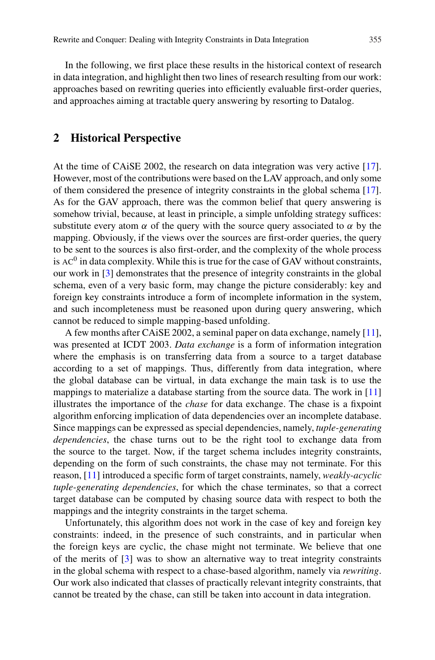In the following, we first place these results in the historical context of research in data integration, and highlight then two lines of research resulting from our work: approaches based on rewriting queries into efficiently evaluable first-order queries, and approaches aiming at tractable query answering by resorting to Datalog.

# **2 Historical Perspective**

At the time of CAiSE 2002, the research on data integration was very active [\[17\]](#page-6-0). However, most of the contributions were based on the LAV approach, and only some of them considered the presence of integrity constraints in the global schema [\[17\]](#page-6-0). As for the GAV approach, there was the common belief that query answering is somehow trivial, because, at least in principle, a simple unfolding strategy suffices: substitute every atom  $\alpha$  of the query with the source query associated to  $\alpha$  by the mapping. Obviously, if the views over the sources are first-order queries, the query to be sent to the sources is also first-order, and the complexity of the whole process is  $AC<sup>0</sup>$  in data complexity. While this is true for the case of GAV without constraints, our work in [\[3\]](#page-5-0) demonstrates that the presence of integrity constraints in the global schema, even of a very basic form, may change the picture considerably: key and foreign key constraints introduce a form of incomplete information in the system, and such incompleteness must be reasoned upon during query answering, which cannot be reduced to simple mapping-based unfolding.

A few months after CAiSE 2002, a seminal paper on data exchange, namely [\[11\]](#page-5-1), was presented at ICDT 2003. *Data exchange* is a form of information integration where the emphasis is on transferring data from a source to a target database according to a set of mappings. Thus, differently from data integration, where the global database can be virtual, in data exchange the main task is to use the mappings to materialize a database starting from the source data. The work in [\[11\]](#page-5-1) illustrates the importance of the *chase* for data exchange. The chase is a fixpoint algorithm enforcing implication of data dependencies over an incomplete database. Since mappings can be expressed as special dependencies, namely, *tuple-generating dependencies*, the chase turns out to be the right tool to exchange data from the source to the target. Now, if the target schema includes integrity constraints, depending on the form of such constraints, the chase may not terminate. For this reason, [\[11\]](#page-5-1) introduced a specific form of target constraints, namely, *weakly-acyclic tuple-generating dependencies*, for which the chase terminates, so that a correct target database can be computed by chasing source data with respect to both the mappings and the integrity constraints in the target schema.

Unfortunately, this algorithm does not work in the case of key and foreign key constraints: indeed, in the presence of such constraints, and in particular when the foreign keys are cyclic, the chase might not terminate. We believe that one of the merits of [\[3\]](#page-5-0) was to show an alternative way to treat integrity constraints in the global schema with respect to a chase-based algorithm, namely via *rewriting*. Our work also indicated that classes of practically relevant integrity constraints, that cannot be treated by the chase, can still be taken into account in data integration.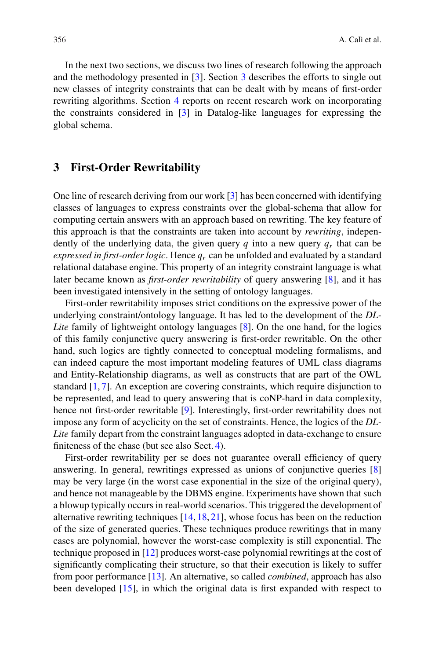In the next two sections, we discuss two lines of research following the approach and the methodology presented in [\[3\]](#page-5-0). Section [3](#page-3-0) describes the efforts to single out new classes of integrity constraints that can be dealt with by means of first-order rewriting algorithms. Section [4](#page-4-0) reports on recent research work on incorporating the constraints considered in [\[3\]](#page-5-0) in Datalog-like languages for expressing the global schema.

#### <span id="page-3-0"></span>**3 First-Order Rewritability**

One line of research deriving from our work [\[3\]](#page-5-0) has been concerned with identifying classes of languages to express constraints over the global-schema that allow for computing certain answers with an approach based on rewriting. The key feature of this approach is that the constraints are taken into account by *rewriting*, independently of the underlying data, the given query q into a new query  $q_r$  that can be *expressed in first-order logic.* Hence  $q_r$  can be unfolded and evaluated by a standard relational database engine. This property of an integrity constraint language is what later became known as *first-order rewritability* of query answering [\[8\]](#page-5-2), and it has been investigated intensively in the setting of ontology languages.

First-order rewritability imposes strict conditions on the expressive power of the underlying constraint/ontology language. It has led to the development of the *DL-Lite* family of lightweight ontology languages [\[8\]](#page-5-2). On the one hand, for the logics of this family conjunctive query answering is first-order rewritable. On the other hand, such logics are tightly connected to conceptual modeling formalisms, and can indeed capture the most important modeling features of UML class diagrams and Entity-Relationship diagrams, as well as constructs that are part of the OWL standard [\[1,](#page-5-3) [7\]](#page-5-4). An exception are covering constraints, which require disjunction to be represented, and lead to query answering that is coNP-hard in data complexity, hence not first-order rewritable [\[9\]](#page-5-5). Interestingly, first-order rewritability does not impose any form of acyclicity on the set of constraints. Hence, the logics of the *DL-Lite* family depart from the constraint languages adopted in data-exchange to ensure finiteness of the chase (but see also Sect. [4\)](#page-4-0).

First-order rewritability per se does not guarantee overall efficiency of query answering. In general, rewritings expressed as unions of conjunctive queries [\[8\]](#page-5-2) may be very large (in the worst case exponential in the size of the original query), and hence not manageable by the DBMS engine. Experiments have shown that such a blowup typically occurs in real-world scenarios. This triggered the development of alternative rewriting techniques [\[14,](#page-6-1) [18,](#page-6-2) [21\]](#page-6-3), whose focus has been on the reduction of the size of generated queries. These techniques produce rewritings that in many cases are polynomial, however the worst-case complexity is still exponential. The technique proposed in [\[12\]](#page-5-6) produces worst-case polynomial rewritings at the cost of significantly complicating their structure, so that their execution is likely to suffer from poor performance [\[13\]](#page-5-7). An alternative, so called *combined*, approach has also been developed [\[15\]](#page-6-4), in which the original data is first expanded with respect to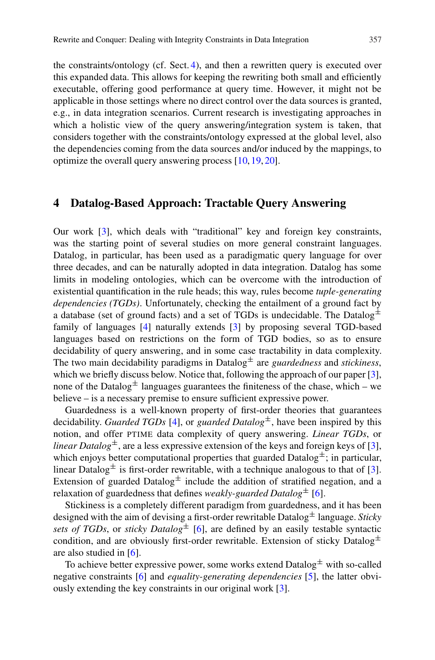the constraints/ontology (cf. Sect. [4\)](#page-4-0), and then a rewritten query is executed over this expanded data. This allows for keeping the rewriting both small and efficiently executable, offering good performance at query time. However, it might not be applicable in those settings where no direct control over the data sources is granted, e.g., in data integration scenarios. Current research is investigating approaches in which a holistic view of the query answering/integration system is taken, that considers together with the constraints/ontology expressed at the global level, also the dependencies coming from the data sources and/or induced by the mappings, to optimize the overall query answering process [\[10,](#page-5-8) [19,](#page-6-5) [20\]](#page-6-6).

# <span id="page-4-0"></span>**4 Datalog-Based Approach: Tractable Query Answering**

Our work [\[3\]](#page-5-0), which deals with "traditional" key and foreign key constraints, was the starting point of several studies on more general constraint languages. Datalog, in particular, has been used as a paradigmatic query language for over three decades, and can be naturally adopted in data integration. Datalog has some limits in modeling ontologies, which can be overcome with the introduction of existential quantification in the rule heads; this way, rules become *tuple-generating dependencies (TGDs)*. Unfortunately, checking the entailment of a ground fact by a database (set of ground facts) and a set of TGDs is undecidable. The Datalog $\pm$ family of languages [\[4\]](#page-5-9) naturally extends [\[3\]](#page-5-0) by proposing several TGD-based languages based on restrictions on the form of TGD bodies, so as to ensure decidability of query answering, and in some case tractability in data complexity. The two main decidability paradigms in Datalog<sup> $\pm$ </sup> are *guardedness* and *stickiness*, which we briefly discuss below. Notice that, following the approach of our paper [\[3\]](#page-5-0), none of the Datalog<sup> $\pm$ </sup> languages guarantees the finiteness of the chase, which – we believe – is a necessary premise to ensure sufficient expressive power.

Guardedness is a well-known property of first-order theories that guarantees decidability. *Guarded TGDs* [\[4\]](#page-5-9), or *guarded Datalog*<sup> $\pm$ </sup>, have been inspired by this notion, and offer PTIME data complexity of query answering. *Linear TGDs*, or *linear Datalog*<sup> $\pm$ </sup>, are a less expressive extension of the keys and foreign keys of [\[3\]](#page-5-0), which enjoys better computational properties that guarded Datalog<sup> $\pm$ </sup>; in particular, linear Datalog<sup> $\pm$ </sup> is first-order rewritable, with a technique analogous to that of [\[3\]](#page-5-0). Extension of guarded Datalog<sup> $\pm$ </sup> include the addition of stratified negation, and a relaxation of guardedness that defines *weakly-guarded Datalog*<sup> $\pm$ </sup> [\[6\]](#page-5-10).

Stickiness is a completely different paradigm from guardedness, and it has been designed with the aim of devising a first-order rewritable Datalog<sup>±</sup> language. *Sticky sets of TGDs*, or *sticky Datalog*˙ [\[6\]](#page-5-10), are defined by an easily testable syntactic condition, and are obviously first-order rewritable. Extension of sticky Datalog $\pm$ are also studied in [\[6\]](#page-5-10).

To achieve better expressive power, some works extend  $\text{Database}^{\pm}$  with so-called negative constraints [\[6\]](#page-5-10) and *equality-generating dependencies* [\[5\]](#page-5-11), the latter obviously extending the key constraints in our original work [\[3\]](#page-5-0).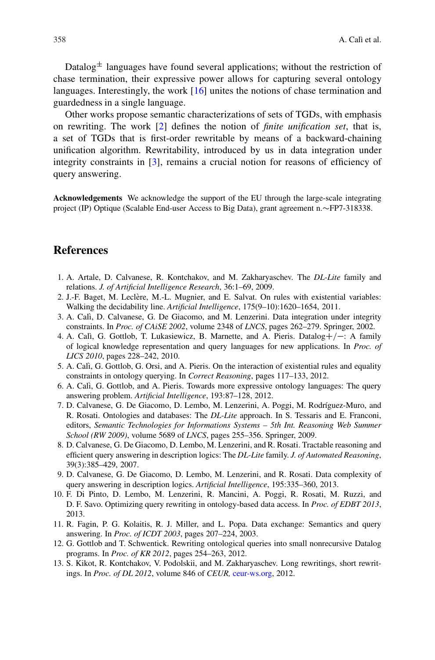Datalog $\pm$  languages have found several applications; without the restriction of chase termination, their expressive power allows for capturing several ontology languages. Interestingly, the work [\[16\]](#page-6-7) unites the notions of chase termination and guardedness in a single language.

Other works propose semantic characterizations of sets of TGDs, with emphasis on rewriting. The work [\[2\]](#page-5-12) defines the notion of *finite unification set*, that is, a set of TGDs that is first-order rewritable by means of a backward-chaining unification algorithm. Rewritability, introduced by us in data integration under integrity constraints in [\[3\]](#page-5-0), remains a crucial notion for reasons of efficiency of query answering.

**Acknowledgements** We acknowledge the support of the EU through the large-scale integrating project (IP) Optique (Scalable End-user Access to Big Data), grant agreement n. $\sim$ FP7-318338.

# **References**

- <span id="page-5-3"></span>1. A. Artale, D. Calvanese, R. Kontchakov, and M. Zakharyaschev. The *DL-Lite* family and relations. *J. of Artificial Intelligence Research*, 36:1–69, 2009.
- <span id="page-5-12"></span>2. J.-F. Baget, M. Leclère, M.-L. Mugnier, and E. Salvat. On rules with existential variables: Walking the decidability line. *Artificial Intelligence*, 175(9–10):1620–1654, 2011.
- <span id="page-5-0"></span>3. A. Cal`ı, D. Calvanese, G. De Giacomo, and M. Lenzerini. Data integration under integrity constraints. In *Proc. of CAiSE 2002*, volume 2348 of *LNCS*, pages 262–279. Springer, 2002.
- <span id="page-5-9"></span>4. A. Calì, G. Gottlob, T. Lukasiewicz, B. Marnette, and A. Pieris. Datalog $+/-$ : A family of logical knowledge representation and query languages for new applications. In *Proc. of LICS 2010*, pages 228–242, 2010.
- <span id="page-5-11"></span>5. A. Cal`ı, G. Gottlob, G. Orsi, and A. Pieris. On the interaction of existential rules and equality constraints in ontology querying. In *Correct Reasoning*, pages 117–133, 2012.
- <span id="page-5-10"></span>6. A. Cal`ı, G. Gottlob, and A. Pieris. Towards more expressive ontology languages: The query answering problem. *Artificial Intelligence*, 193:87–128, 2012.
- <span id="page-5-4"></span>7. D. Calvanese, G. De Giacomo, D. Lembo, M. Lenzerini, A. Poggi, M. Rodríguez-Muro, and R. Rosati. Ontologies and databases: The *DL-Lite* approach. In S. Tessaris and E. Franconi, editors, *Semantic Technologies for Informations Systems – 5th Int. Reasoning Web Summer School (RW 2009)*, volume 5689 of *LNCS*, pages 255–356. Springer, 2009.
- <span id="page-5-2"></span>8. D. Calvanese, G. De Giacomo, D. Lembo, M. Lenzerini, and R. Rosati. Tractable reasoning and efficient query answering in description logics: The *DL-Lite* family. *J. of Automated Reasoning*, 39(3):385–429, 2007.
- <span id="page-5-5"></span>9. D. Calvanese, G. De Giacomo, D. Lembo, M. Lenzerini, and R. Rosati. Data complexity of query answering in description logics. *Artificial Intelligence*, 195:335–360, 2013.
- <span id="page-5-8"></span>10. F. Di Pinto, D. Lembo, M. Lenzerini, R. Mancini, A. Poggi, R. Rosati, M. Ruzzi, and D. F. Savo. Optimizing query rewriting in ontology-based data access. In *Proc. of EDBT 2013*, 2013.
- <span id="page-5-1"></span>11. R. Fagin, P. G. Kolaitis, R. J. Miller, and L. Popa. Data exchange: Semantics and query answering. In *Proc. of ICDT 2003*, pages 207–224, 2003.
- <span id="page-5-6"></span>12. G. Gottlob and T. Schwentick. Rewriting ontological queries into small nonrecursive Datalog programs. In *Proc. of KR 2012*, pages 254–263, 2012.
- <span id="page-5-7"></span>13. S. Kikot, R. Kontchakov, V. Podolskii, and M. Zakharyaschev. Long rewritings, short rewritings. In *Proc. of DL 2012*, volume 846 of *CEUR,* [ceur-ws.org,](http://ceur-ws.org) 2012.